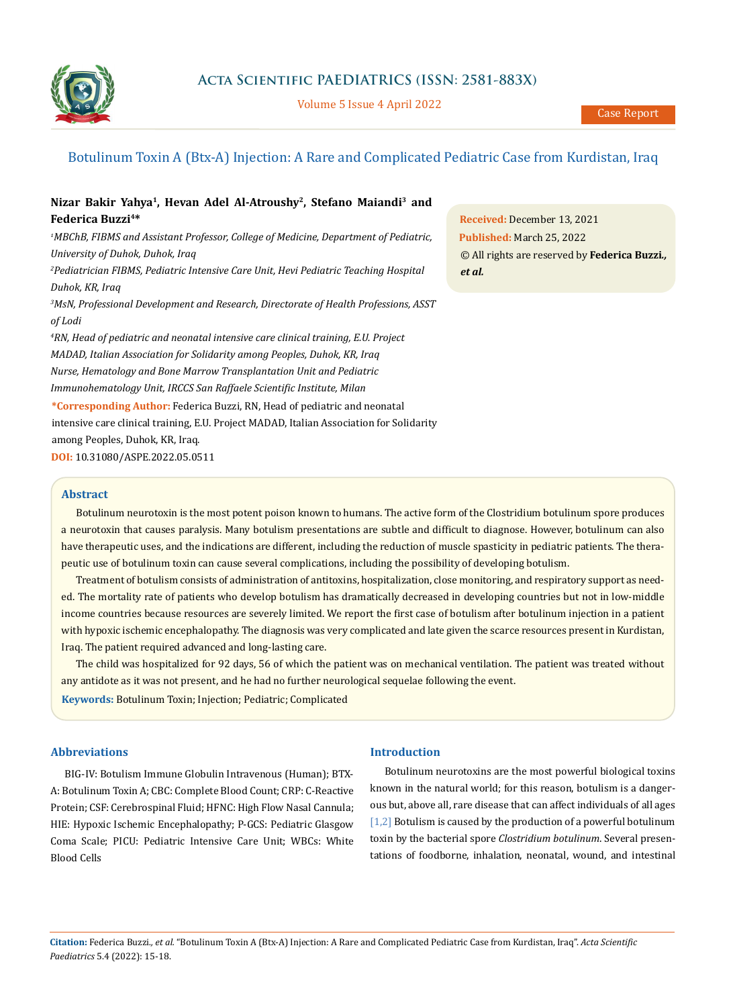

Volume 5 Issue 4 April 2022

## Botulinum Toxin A (Btx-A) Injection: A Rare and Complicated Pediatric Case from Kurdistan, Iraq

# **Nizar Bakir Yahya1, Hevan Adel Al-Atroushy2, Stefano Maiandi3 and Federica Buzzi4\***

*1 MBChB, FIBMS and Assistant Professor, College of Medicine, Department of Pediatric, University of Duhok, Duhok, Iraq 2 Pediatrician FIBMS, Pediatric Intensive Care Unit, Hevi Pediatric Teaching Hospital Duhok, KR, Iraq 3 MsN, Professional Development and Research, Directorate of Health Professions, ASST of Lodi 4 RN, Head of pediatric and neonatal intensive care clinical training, E.U. Project MADAD, Italian Association for Solidarity among Peoples, Duhok, KR, Iraq Nurse, Hematology and Bone Marrow Transplantation Unit and Pediatric Immunohematology Unit, IRCCS San Raffaele Scientific Institute, Milan* **\*Corresponding Author:** Federica Buzzi, RN, Head of pediatric and neonatal intensive care clinical training, E.U. Project MADAD, Italian Association for Solidarity

among Peoples, Duhok, KR, Iraq.

**DOI:** [10.31080/ASPE.2022.05.0511](https://actascientific.com/ASPE/pdf/ASPE-05-0511.pdf)

#### **Abstract**

Botulinum neurotoxin is the most potent poison known to humans. The active form of the Clostridium botulinum spore produces a neurotoxin that causes paralysis. Many botulism presentations are subtle and difficult to diagnose. However, botulinum can also have therapeutic uses, and the indications are different, including the reduction of muscle spasticity in pediatric patients. The therapeutic use of botulinum toxin can cause several complications, including the possibility of developing botulism.

Treatment of botulism consists of administration of antitoxins, hospitalization, close monitoring, and respiratory support as needed. The mortality rate of patients who develop botulism has dramatically decreased in developing countries but not in low-middle income countries because resources are severely limited. We report the first case of botulism after botulinum injection in a patient with hypoxic ischemic encephalopathy. The diagnosis was very complicated and late given the scarce resources present in Kurdistan, Iraq. The patient required advanced and long-lasting care.

The child was hospitalized for 92 days, 56 of which the patient was on mechanical ventilation. The patient was treated without any antidote as it was not present, and he had no further neurological sequelae following the event.

**Keywords:** Botulinum Toxin; Injection; Pediatric; Complicated

## **Abbreviations**

BIG-IV: Botulism Immune Globulin Intravenous (Human); BTX-A: Botulinum Toxin A; CBC: Complete Blood Count; CRP: C-Reactive Protein; CSF: Cerebrospinal Fluid; HFNC: High Flow Nasal Cannula; HIE: Hypoxic Ischemic Encephalopathy; P-GCS: Pediatric Glasgow Coma Scale; PICU: Pediatric Intensive Care Unit; WBCs: White Blood Cells

## **Introduction**

Botulinum neurotoxins are the most powerful biological toxins known in the natural world; for this reason, botulism is a dangerous but, above all, rare disease that can affect individuals of all ages [1,2] Botulism is caused by the production of a powerful botulinum toxin by the bacterial spore *Clostridium botulinum*. Several presentations of foodborne, inhalation, neonatal, wound, and intestinal

**Received:** December 13, 2021 **Published:** March 25, 2022 © All rights are reserved by **Federica Buzzi***., et al.*

**Citation:** Federica Buzzi*., et al.* "Botulinum Toxin A (Btx-A) Injection: A Rare and Complicated Pediatric Case from Kurdistan, Iraq". *Acta Scientific Paediatrics* 5.4 (2022): 15-18.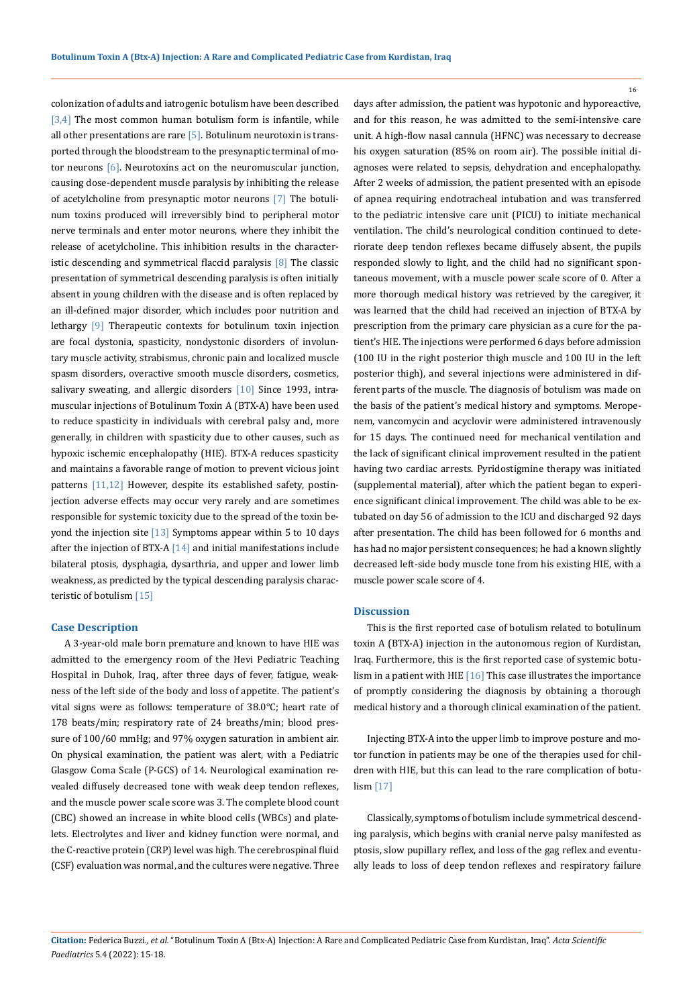colonization of adults and iatrogenic botulism have been described  $[3,4]$  The most common human botulism form is infantile, while all other presentations are rare  $[5]$ . Botulinum neurotoxin is transported through the bloodstream to the presynaptic terminal of motor neurons [6]. Neurotoxins act on the neuromuscular junction, causing dose-dependent muscle paralysis by inhibiting the release of acetylcholine from presynaptic motor neurons [7] The botulinum toxins produced will irreversibly bind to peripheral motor nerve terminals and enter motor neurons, where they inhibit the release of acetylcholine. This inhibition results in the characteristic descending and symmetrical flaccid paralysis [8] The classic presentation of symmetrical descending paralysis is often initially absent in young children with the disease and is often replaced by an ill-defined major disorder, which includes poor nutrition and lethargy [9] Therapeutic contexts for botulinum toxin injection are focal dystonia, spasticity, nondystonic disorders of involuntary muscle activity, strabismus, chronic pain and localized muscle spasm disorders, overactive smooth muscle disorders, cosmetics, salivary sweating, and allergic disorders [10] Since 1993, intramuscular injections of Botulinum Toxin A (BTX-A) have been used to reduce spasticity in individuals with cerebral palsy and, more generally, in children with spasticity due to other causes, such as hypoxic ischemic encephalopathy (HIE). BTX-A reduces spasticity and maintains a favorable range of motion to prevent vicious joint patterns [11,12] However, despite its established safety, postinjection adverse effects may occur very rarely and are sometimes responsible for systemic toxicity due to the spread of the toxin beyond the injection site [13] Symptoms appear within 5 to 10 days after the injection of BTX-A  $[14]$  and initial manifestations include bilateral ptosis, dysphagia, dysarthria, and upper and lower limb weakness, as predicted by the typical descending paralysis characteristic of botulism [15]

#### **Case Description**

A 3-year-old male born premature and known to have HIE was admitted to the emergency room of the Hevi Pediatric Teaching Hospital in Duhok, Iraq, after three days of fever, fatigue, weakness of the left side of the body and loss of appetite. The patient's vital signs were as follows: temperature of 38.0°C; heart rate of 178 beats/min; respiratory rate of 24 breaths/min; blood pressure of 100/60 mmHg; and 97% oxygen saturation in ambient air. On physical examination, the patient was alert, with a Pediatric Glasgow Coma Scale (P-GCS) of 14. Neurological examination revealed diffusely decreased tone with weak deep tendon reflexes, and the muscle power scale score was 3. The complete blood count (CBC) showed an increase in white blood cells (WBCs) and platelets. Electrolytes and liver and kidney function were normal, and the C-reactive protein (CRP) level was high. The cerebrospinal fluid (CSF) evaluation was normal, and the cultures were negative. Three days after admission, the patient was hypotonic and hyporeactive, and for this reason, he was admitted to the semi-intensive care unit. A high-flow nasal cannula (HFNC) was necessary to decrease his oxygen saturation (85% on room air). The possible initial diagnoses were related to sepsis, dehydration and encephalopathy. After 2 weeks of admission, the patient presented with an episode of apnea requiring endotracheal intubation and was transferred to the pediatric intensive care unit (PICU) to initiate mechanical ventilation. The child's neurological condition continued to deteriorate deep tendon reflexes became diffusely absent, the pupils responded slowly to light, and the child had no significant spontaneous movement, with a muscle power scale score of 0. After a more thorough medical history was retrieved by the caregiver, it was learned that the child had received an injection of BTX-A by prescription from the primary care physician as a cure for the patient's HIE. The injections were performed 6 days before admission (100 IU in the right posterior thigh muscle and 100 IU in the left posterior thigh), and several injections were administered in different parts of the muscle. The diagnosis of botulism was made on the basis of the patient's medical history and symptoms. Meropenem, vancomycin and acyclovir were administered intravenously for 15 days. The continued need for mechanical ventilation and the lack of significant clinical improvement resulted in the patient having two cardiac arrests. Pyridostigmine therapy was initiated (supplemental material), after which the patient began to experience significant clinical improvement. The child was able to be extubated on day 56 of admission to the ICU and discharged 92 days after presentation. The child has been followed for 6 months and has had no major persistent consequences; he had a known slightly decreased left-side body muscle tone from his existing HIE, with a muscle power scale score of 4.

#### **Discussion**

This is the first reported case of botulism related to botulinum toxin A (BTX-A) injection in the autonomous region of Kurdistan, Iraq. Furthermore, this is the first reported case of systemic botulism in a patient with HIE [16] This case illustrates the importance of promptly considering the diagnosis by obtaining a thorough medical history and a thorough clinical examination of the patient.

Injecting BTX-A into the upper limb to improve posture and motor function in patients may be one of the therapies used for children with HIE, but this can lead to the rare complication of botulism [17]

Classically, symptoms of botulism include symmetrical descending paralysis, which begins with cranial nerve palsy manifested as ptosis, slow pupillary reflex, and loss of the gag reflex and eventually leads to loss of deep tendon reflexes and respiratory failure

16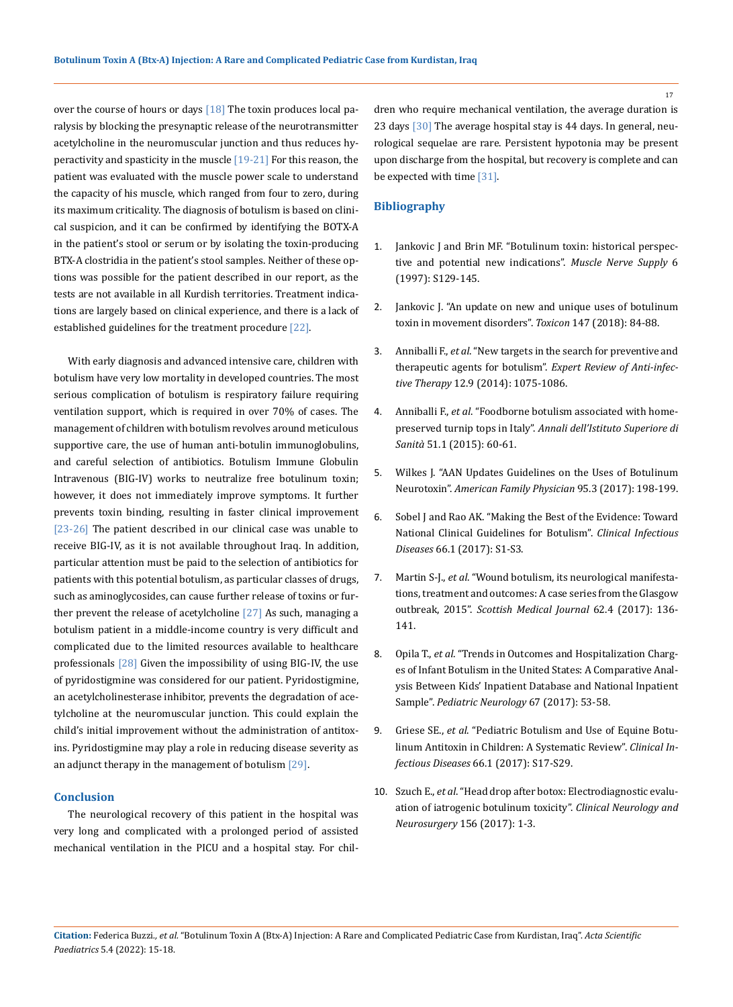over the course of hours or days  $[18]$  The toxin produces local paralysis by blocking the presynaptic release of the neurotransmitter acetylcholine in the neuromuscular junction and thus reduces hyperactivity and spasticity in the muscle [19-21] For this reason, the patient was evaluated with the muscle power scale to understand the capacity of his muscle, which ranged from four to zero, during its maximum criticality. The diagnosis of botulism is based on clinical suspicion, and it can be confirmed by identifying the BOTX-A in the patient's stool or serum or by isolating the toxin-producing BTX-A clostridia in the patient's stool samples. Neither of these options was possible for the patient described in our report, as the tests are not available in all Kurdish territories. Treatment indications are largely based on clinical experience, and there is a lack of established guidelines for the treatment procedure [22].

With early diagnosis and advanced intensive care, children with botulism have very low mortality in developed countries. The most serious complication of botulism is respiratory failure requiring ventilation support, which is required in over 70% of cases. The management of children with botulism revolves around meticulous supportive care, the use of human anti-botulin immunoglobulins, and careful selection of antibiotics. Botulism Immune Globulin Intravenous (BIG-IV) works to neutralize free botulinum toxin; however, it does not immediately improve symptoms. It further prevents toxin binding, resulting in faster clinical improvement [23-26] The patient described in our clinical case was unable to receive BIG-IV, as it is not available throughout Iraq. In addition, particular attention must be paid to the selection of antibiotics for patients with this potential botulism, as particular classes of drugs, such as aminoglycosides, can cause further release of toxins or further prevent the release of acetylcholine [27] As such, managing a botulism patient in a middle-income country is very difficult and complicated due to the limited resources available to healthcare professionals [28] Given the impossibility of using BIG-IV, the use of pyridostigmine was considered for our patient. Pyridostigmine, an acetylcholinesterase inhibitor, prevents the degradation of acetylcholine at the neuromuscular junction. This could explain the child's initial improvement without the administration of antitoxins. Pyridostigmine may play a role in reducing disease severity as an adjunct therapy in the management of botulism [29].

#### **Conclusion**

The neurological recovery of this patient in the hospital was very long and complicated with a prolonged period of assisted mechanical ventilation in the PICU and a hospital stay. For children who require mechanical ventilation, the average duration is 23 days [30] The average hospital stay is 44 days. In general, neurological sequelae are rare. Persistent hypotonia may be present upon discharge from the hospital, but recovery is complete and can be expected with time [31].

### **Bibliography**

- 1. [Jankovic J and Brin MF. "Botulinum toxin: historical perspec](https://pubmed.ncbi.nlm.nih.gov/9826986/)[tive and potential new indications".](https://pubmed.ncbi.nlm.nih.gov/9826986/) *Muscle Nerve Supply* 6 [\(1997\): S129-145.](https://pubmed.ncbi.nlm.nih.gov/9826986/)
- 2. [Jankovic J. "An update on new and unique uses of botulinum](https://pubmed.ncbi.nlm.nih.gov/28888928/)  [toxin in movement disorders".](https://pubmed.ncbi.nlm.nih.gov/28888928/) *Toxicon* 147 (2018): 84-88.
- 3. Anniballi F., *et al*[. "New targets in the search for preventive and](https://pubmed.ncbi.nlm.nih.gov/25089560/)  [therapeutic agents for botulism".](https://pubmed.ncbi.nlm.nih.gov/25089560/) *Expert Review of Anti-infective Therapy* [12.9 \(2014\): 1075-1086.](https://pubmed.ncbi.nlm.nih.gov/25089560/)
- 4. Anniballi F., *et al*[. "Foodborne botulism associated with home](https://pubmed.ncbi.nlm.nih.gov/25857385/)preserved turnip tops in Italy". *[Annali dell'Istituto Superiore di](https://pubmed.ncbi.nlm.nih.gov/25857385/) Sanità* [51.1 \(2015\): 60-61.](https://pubmed.ncbi.nlm.nih.gov/25857385/)
- 5. [Wilkes J. "AAN Updates Guidelines on the Uses of Botulinum](https://pubmed.ncbi.nlm.nih.gov/28145664/)  Neurotoxin". *[American Family Physician](https://pubmed.ncbi.nlm.nih.gov/28145664/)* 95.3 (2017): 198-199.
- 6. [Sobel J and Rao AK. "Making the Best of the Evidence: Toward](https://pubmed.ncbi.nlm.nih.gov/29293933/)  [National Clinical Guidelines for Botulism".](https://pubmed.ncbi.nlm.nih.gov/29293933/) *Clinical Infectious Diseases* [66.1 \(2017\): S1-S3.](https://pubmed.ncbi.nlm.nih.gov/29293933/)
- 7. Martin S-J., *et al*[. "Wound botulism, its neurological manifesta](https://pubmed.ncbi.nlm.nih.gov/28480790/)[tions, treatment and outcomes: A case series from the Glasgow](https://pubmed.ncbi.nlm.nih.gov/28480790/)  outbreak, 2015". *[Scottish Medical Journal](https://pubmed.ncbi.nlm.nih.gov/28480790/)* 62.4 (2017): 136- [141.](https://pubmed.ncbi.nlm.nih.gov/28480790/)
- 8. Opila T., *et al*[. "Trends in Outcomes and Hospitalization Charg](https://pubmed.ncbi.nlm.nih.gov/28041655/)[es of Infant Botulism in the United States: A Comparative Anal](https://pubmed.ncbi.nlm.nih.gov/28041655/)[ysis Between Kids' Inpatient Database and National Inpatient](https://pubmed.ncbi.nlm.nih.gov/28041655/)  Sample". *[Pediatric Neurology](https://pubmed.ncbi.nlm.nih.gov/28041655/)* 67 (2017): 53-58.
- 9. Griese SE., *et al*[. "Pediatric Botulism and Use of Equine Botu](file:///C:/Users/DELL/Desktop/07-02-2022/PDF/ASPE/ASPE-21-CR-172/.)[linum Antitoxin in Children: A Systematic Review".](file:///C:/Users/DELL/Desktop/07-02-2022/PDF/ASPE/ASPE-21-CR-172/.) *Clinical Infectious Diseases* [66.1 \(2017\): S17-S29.](file:///C:/Users/DELL/Desktop/07-02-2022/PDF/ASPE/ASPE-21-CR-172/.)
- 10. Szuch E., *et al*[. "Head drop after botox: Electrodiagnostic evalu](https://pubmed.ncbi.nlm.nih.gov/28273554/)[ation of iatrogenic botulinum toxicity".](https://pubmed.ncbi.nlm.nih.gov/28273554/) *Clinical Neurology and Neurosurgery* [156 \(2017\): 1-3.](https://pubmed.ncbi.nlm.nih.gov/28273554/)

17